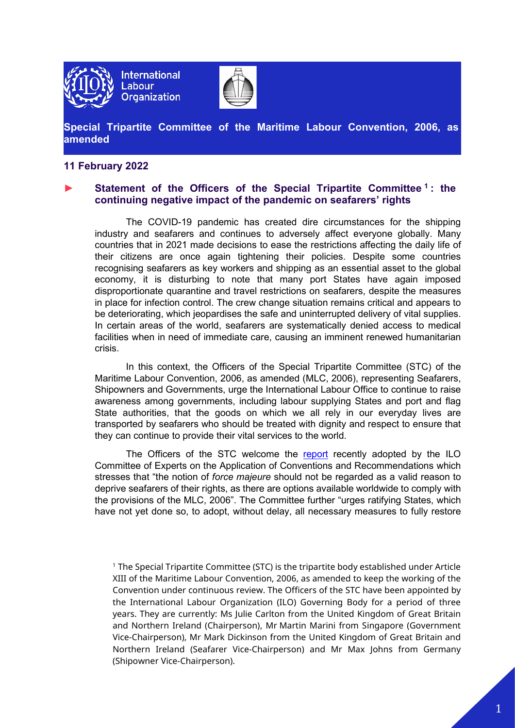

**International Labour Organization** 



**Special Tripartite Committee of the Maritime Labour Convention, 2006, as amended**

## **11 February 2022**

## **► Statement of the Officers of the Special Tripartite Committee [1](#page-0-0) : the continuing negative impact of the pandemic on seafarers' rights**

The COVID-19 pandemic has created dire circumstances for the shipping industry and seafarers and continues to adversely affect everyone globally. Many countries that in 2021 made decisions to ease the restrictions affecting the daily life of their citizens are once again tightening their policies. Despite some countries recognising seafarers as key workers and shipping as an essential asset to the global economy, it is disturbing to note that many port States have again imposed disproportionate quarantine and travel restrictions on seafarers, despite the measures in place for infection control. The crew change situation remains critical and appears to be deteriorating, which jeopardises the safe and uninterrupted delivery of vital supplies. In certain areas of the world, seafarers are systematically denied access to medical facilities when in need of immediate care, causing an imminent renewed humanitarian crisis.

In this context, the Officers of the Special Tripartite Committee (STC) of the Maritime Labour Convention, 2006, as amended (MLC, 2006), representing Seafarers, Shipowners and Governments, urge the International Labour Office to continue to raise awareness among governments, including labour supplying States and port and flag State authorities, that the goods on which we all rely in our everyday lives are transported by seafarers who should be treated with dignity and respect to ensure that they can continue to provide their vital services to the world.

The Officers of the STC welcome the [report](https://www.ilo.org/global/standards/maritime-labour-convention/WCMS_836883/lang--en/index.htm) recently adopted by the ILO Committee of Experts on the Application of Conventions and Recommendations which stresses that "the notion of *force majeure* should not be regarded as a valid reason to deprive seafarers of their rights, as there are options available worldwide to comply with the provisions of the MLC, 2006". The Committee further "urges ratifying States, which have not yet done so, to adopt, without delay, all necessary measures to fully restore

<span id="page-0-0"></span><sup>1</sup> The Special Tripartite Committee (STC) is the tripartite body established under Article XIII of the Maritime Labour Convention, 2006, as amended to keep the working of the Convention under continuous review. The Officers of the STC have been appointed by the International Labour Organization (ILO) Governing Body for a period of three years. They are currently: Ms Julie Carlton from the United Kingdom of Great Britain and Northern Ireland (Chairperson), Mr Martin Marini from Singapore (Government Vice-Chairperson), Mr Mark Dickinson from the United Kingdom of Great Britain and Northern Ireland (Seafarer Vice-Chairperson) and Mr Max Johns from Germany (Shipowner Vice-Chairperson).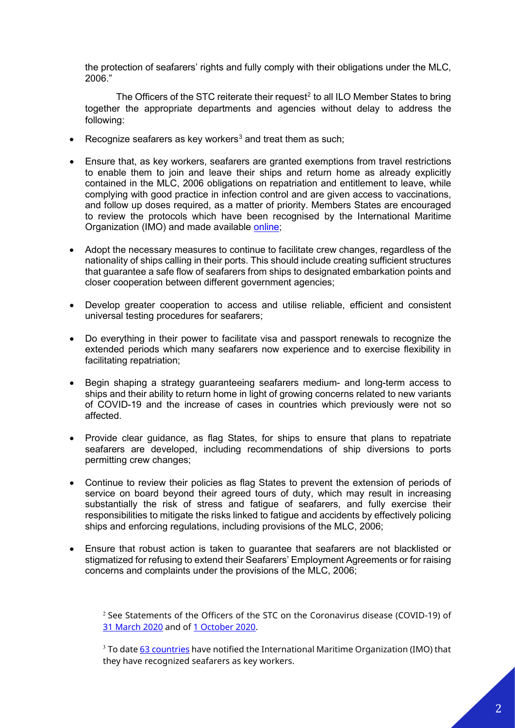the protection of seafarers' rights and fully comply with their obligations under the MLC, 2006."

The Officers of the STC reiterate their request<sup>[2](#page-1-0)</sup> to all ILO Member States to bring together the appropriate departments and agencies without delay to address the following:

- Recognize seafarers as key workers<sup>[3](#page-1-1)</sup> and treat them as such;
- Ensure that, as key workers, seafarers are granted exemptions from travel restrictions to enable them to join and leave their ships and return home as already explicitly contained in the MLC, 2006 obligations on repatriation and entitlement to leave, while complying with good practice in infection control and are given access to vaccinations, and follow up doses required, as a matter of priority. Members States are encouraged to review the protocols which have been recognised by the International Maritime Organization (IMO) and made available [online;](https://wwwcdn.imo.org/localresources/en/MediaCentre/HotTopics/Documents/MSC%201636%20protocols/MSC.1-Circ.1636%20-%20Industry%20Recommended%20Framework%20Of%20Protocols%20For%20Ensuring%20Safe%20Ship%20Crew%20Changes%20And%20Travel.pdf)
- Adopt the necessary measures to continue to facilitate crew changes, regardless of the nationality of ships calling in their ports. This should include creating sufficient structures that guarantee a safe flow of seafarers from ships to designated embarkation points and closer cooperation between different government agencies;
- Develop greater cooperation to access and utilise reliable, efficient and consistent universal testing procedures for seafarers;
- Do everything in their power to facilitate visa and passport renewals to recognize the extended periods which many seafarers now experience and to exercise flexibility in facilitating repatriation;
- Begin shaping a strategy guaranteeing seafarers medium- and long-term access to ships and their ability to return home in light of growing concerns related to new variants of COVID-19 and the increase of cases in countries which previously were not so affected.
- Provide clear guidance, as flag States, for ships to ensure that plans to repatriate seafarers are developed, including recommendations of ship diversions to ports permitting crew changes;
- Continue to review their policies as flag States to prevent the extension of periods of service on board beyond their agreed tours of duty, which may result in increasing substantially the risk of stress and fatigue of seafarers, and fully exercise their responsibilities to mitigate the risks linked to fatigue and accidents by effectively policing ships and enforcing regulations, including provisions of the MLC, 2006;
- <span id="page-1-0"></span>• Ensure that robust action is taken to guarantee that seafarers are not blacklisted or stigmatized for refusing to extend their Seafarers' Employment Agreements or for raising concerns and complaints under the provisions of the MLC, 2006;

 $2$  See Statements of the Officers of the STC on the Coronavirus disease (COVID-19) of [31 March 2020](https://www.ilo.org/global/standards/maritime-labour-convention/special-tripartite-committee/WCMS_740130/lang--en/index.htm) and of [1 October 2020.](https://www.ilo.org/global/standards/maritime-labour-convention/special-tripartite-committee/WCMS_756782/lang--en/index.htm)

<span id="page-1-1"></span> $3$  To date 63 [countries](https://wwwcdn.imo.org/localresources/en/MediaCentre/HotTopics/Documents/COVID%20CL%204204%20adds/Circular%20Letter%20No.4204-Add.35-Rev.9.pdf) have notified the International Maritime Organization (IMO) that they have recognized seafarers as key workers.